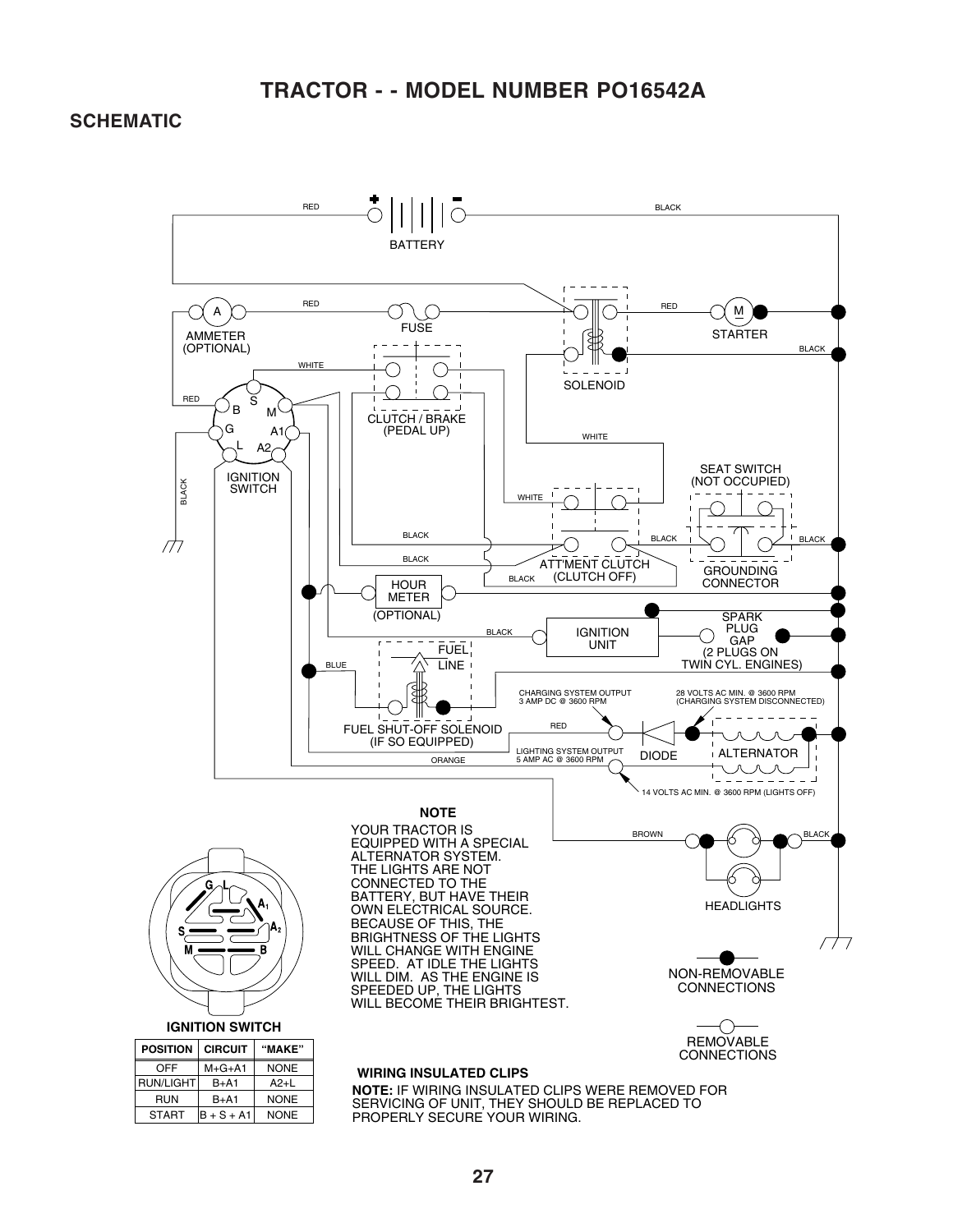### **TRACTOR - - MODEL NUMBER PO16542A**

#### **SCHEMATIC**

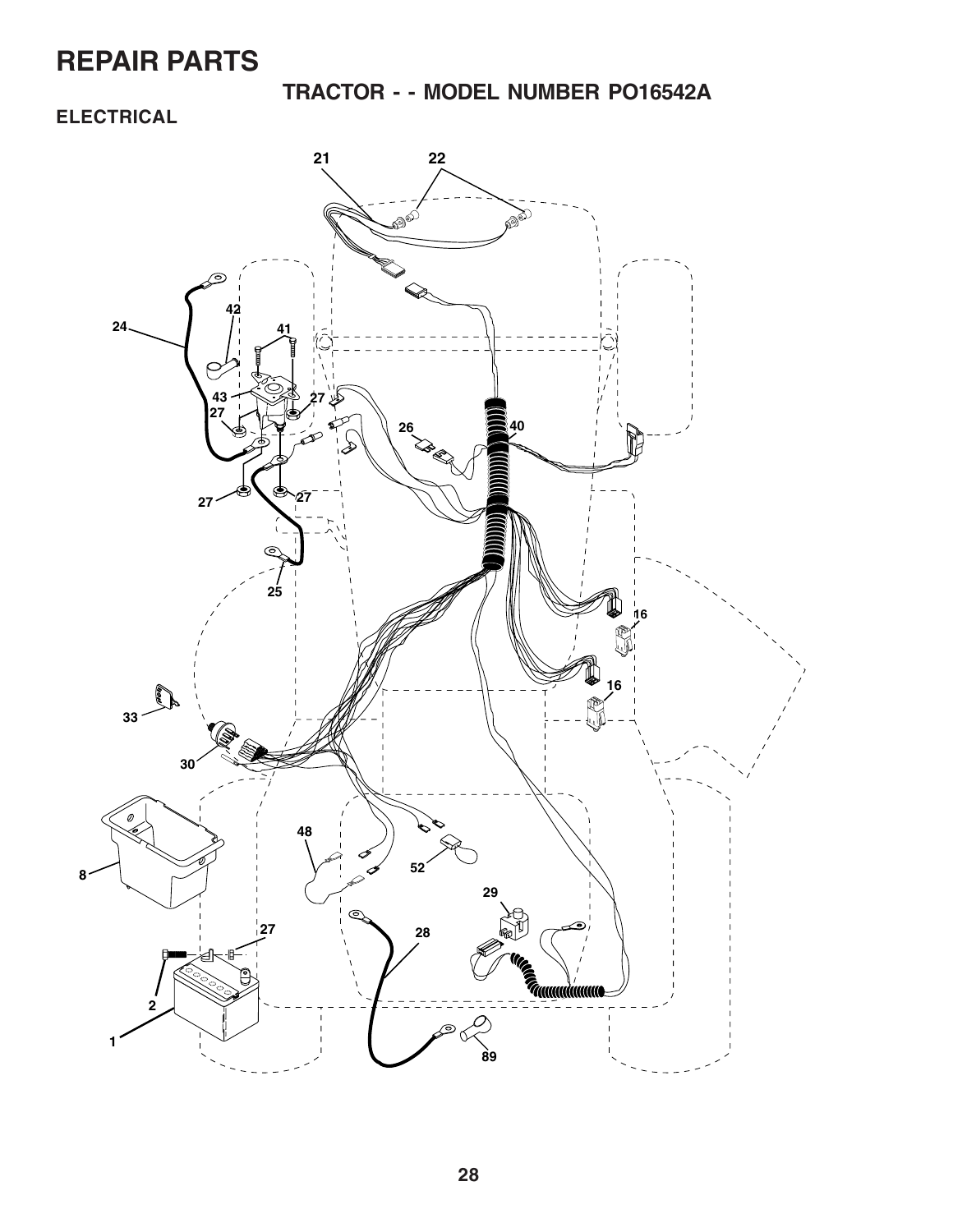**TRACTOR - - MODEL NUMBER PO16542A**

### **ELECTRICAL**

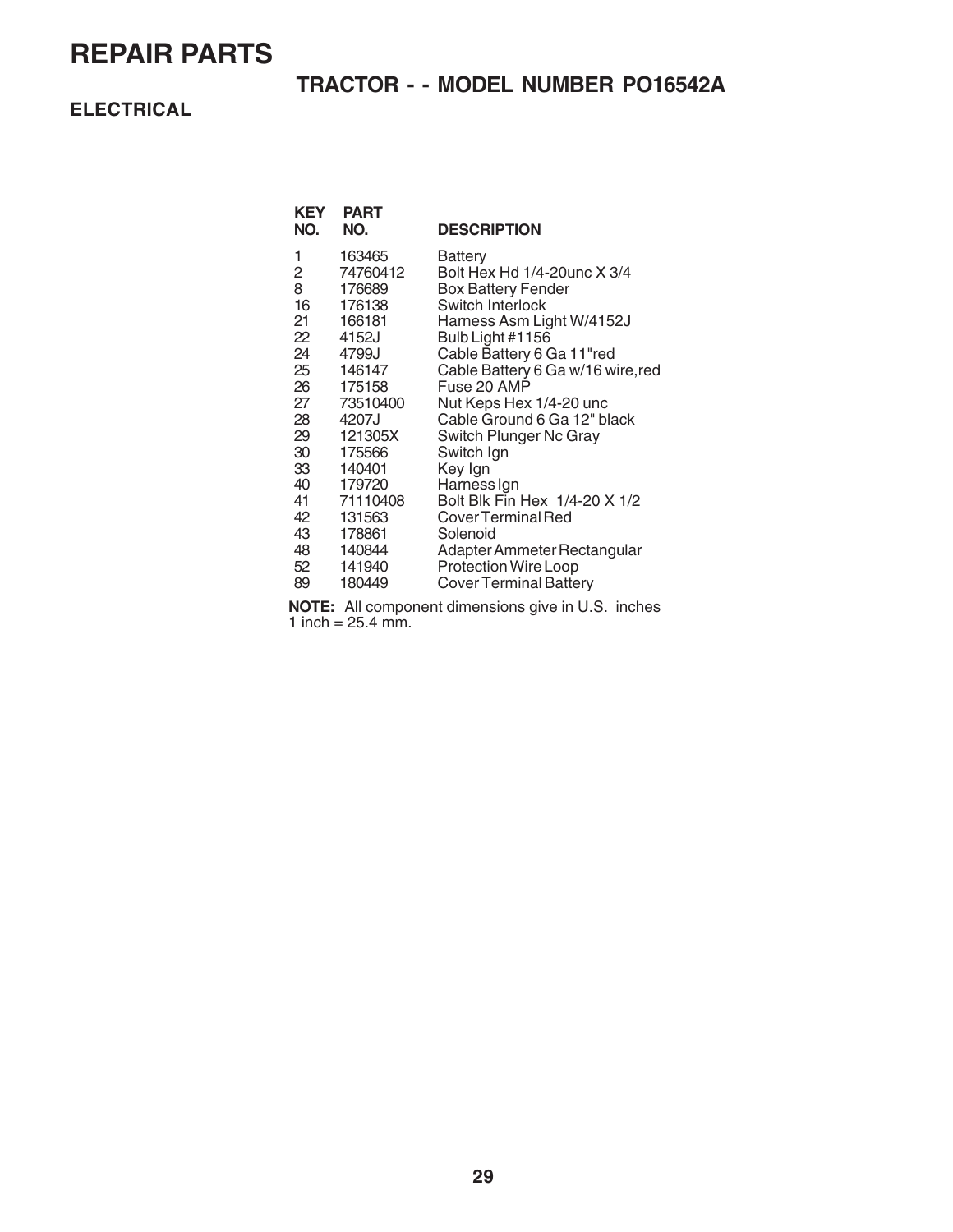### **TRACTOR - - MODEL NUMBER PO16542A**

**ELECTRICAL**

| <b>PART</b><br>NO. | <b>DESCRIPTION</b>                    |
|--------------------|---------------------------------------|
| 163465             | Battery                               |
|                    | Bolt Hex Hd 1/4-20unc X 3/4           |
|                    | <b>Box Battery Fender</b>             |
|                    | Switch Interlock                      |
| 166181             | Harness Asm Light W/4152J             |
|                    | Bulb Light #1156                      |
| 4799J              | Cable Battery 6 Ga 11"red             |
| 146147             | Cable Battery 6 Ga w/16 wire, red     |
| 175158             | Fuse 20 AMP                           |
| 73510400           | Nut Keps Hex 1/4-20 unc               |
| 4207J              | Cable Ground 6 Ga 12" black           |
| 121305X            | Switch Plunger Nc Gray                |
| 175566             | Switch Ign                            |
| 140401             | Key Ign                               |
| 179720             | Harness Ign                           |
| 71110408           | Bolt Blk Fin Hex 1/4-20 X 1/2         |
| 131563             | Cover Terminal Red                    |
| 178861             | Solenoid                              |
| 140844             | Adapter Ammeter Rectangular           |
| 141940             | <b>Protection Wire Loop</b>           |
| 180449             | <b>Cover Terminal Battery</b>         |
|                    | 74760412<br>176689<br>176138<br>4152J |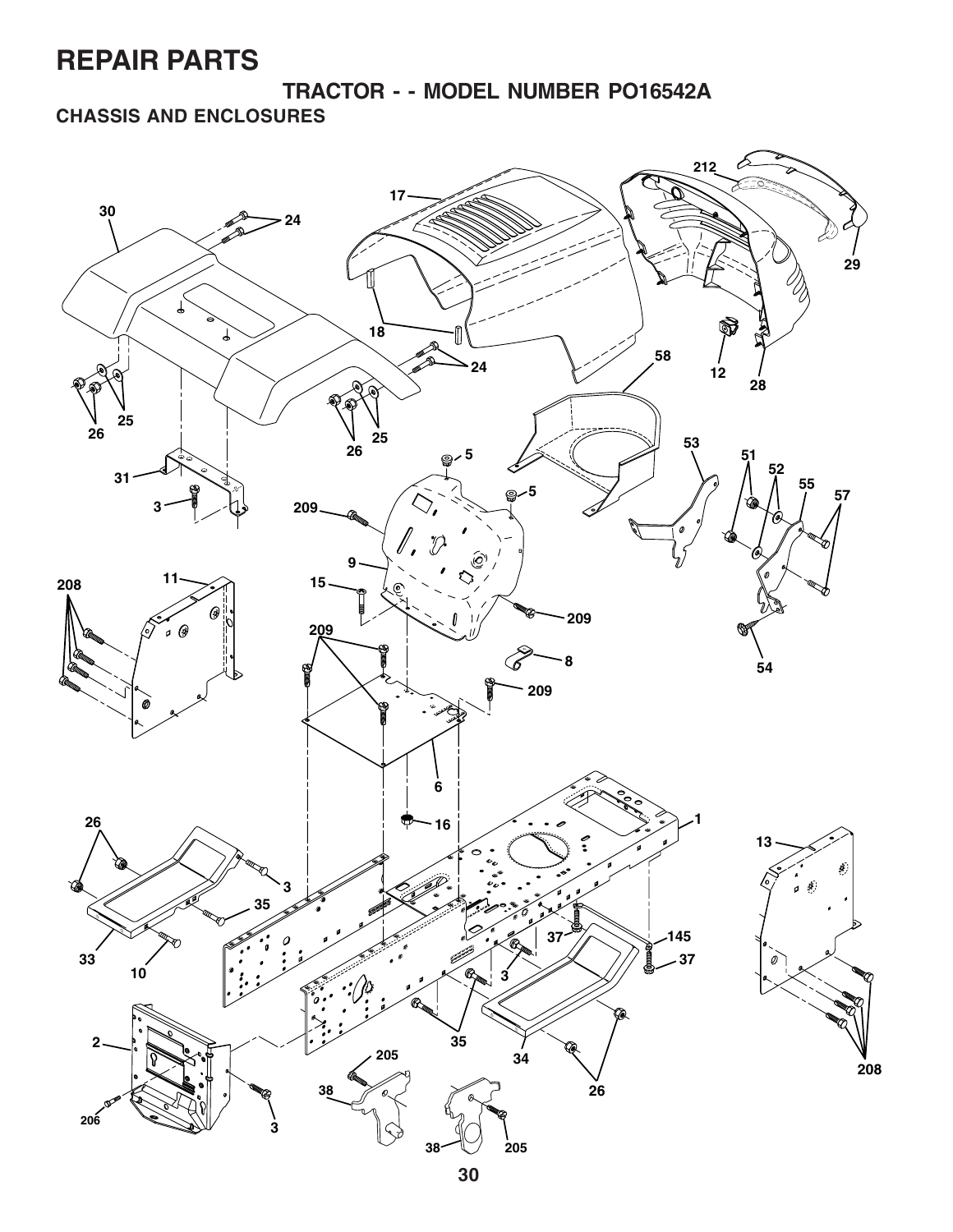**TRACTOR - - MODEL NUMBER PO16542A**

**CHASSIS AND ENCLOSURES**

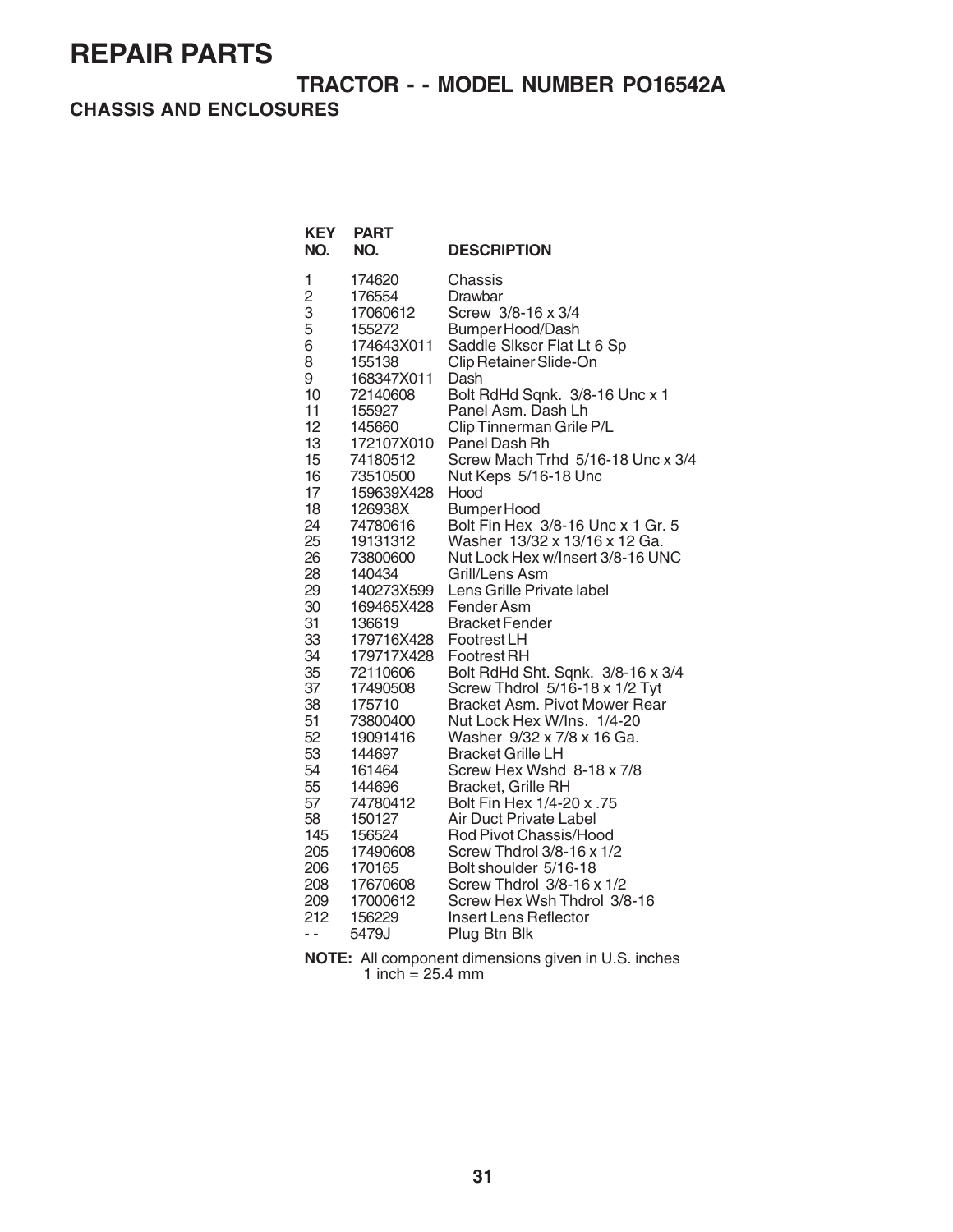### **TRACTOR - - MODEL NUMBER PO16542A**

#### **CHASSIS AND ENCLOSURES**

**KEY PART**

| NO.                                                                                                                                                                                                      | NO.                                                                                                                                                                                                                                                                                                                                                                                             | <b>DESCRIPTION</b>                                                                                                                                                                                                                                                                                                                                                                                                                                                                                                                                                                                                                                                                                                                                                                                                                                |
|----------------------------------------------------------------------------------------------------------------------------------------------------------------------------------------------------------|-------------------------------------------------------------------------------------------------------------------------------------------------------------------------------------------------------------------------------------------------------------------------------------------------------------------------------------------------------------------------------------------------|---------------------------------------------------------------------------------------------------------------------------------------------------------------------------------------------------------------------------------------------------------------------------------------------------------------------------------------------------------------------------------------------------------------------------------------------------------------------------------------------------------------------------------------------------------------------------------------------------------------------------------------------------------------------------------------------------------------------------------------------------------------------------------------------------------------------------------------------------|
| 1<br>$\overline{c}$<br>3<br>5<br>6<br>8<br>9<br>10<br>11<br>12<br>13<br>15<br>16<br>17<br>18<br>24<br>25<br>26<br>28<br>29<br>30<br>31<br>33<br>34<br>35<br>37<br>38<br>51<br>52<br>53<br>54<br>55<br>57 | 174620<br>176554<br>17060612<br>155272<br>174643X011<br>155138<br>168347X011<br>72140608<br>155927<br>145660<br>172107X010<br>74180512<br>73510500<br>159639X428<br>126938X<br>74780616<br>19131312<br>73800600<br>140434<br>140273X599<br>169465X428<br>136619<br>179716X428<br>179717X428<br>72110606<br>17490508<br>175710<br>73800400<br>19091416<br>144697<br>161464<br>144696<br>74780412 | Chassis<br>Drawbar<br>Screw 3/8-16 x 3/4<br>Bumper Hood/Dash<br>Saddle Slkscr Flat Lt 6 Sp<br>Clip Retainer Slide-On<br>Dash<br>Bolt RdHd Sqnk. 3/8-16 Unc x 1<br>Panel Asm. Dash Lh<br>Clip Tinnerman Grile P/L<br>Panel Dash Rh<br>Screw Mach Trhd 5/16-18 Unc x 3/4<br>Nut Keps 5/16-18 Unc<br>Hood<br>Bumper Hood<br>Bolt Fin Hex 3/8-16 Unc x 1 Gr. 5<br>Washer 13/32 x 13/16 x 12 Ga.<br>Nut Lock Hex w/Insert 3/8-16 UNC<br>Grill/Lens Asm<br>Lens Grille Private label<br>Fender Asm<br><b>Bracket Fender</b><br>Footrest LH<br><b>Footrest RH</b><br>Bolt RdHd Sht. Sqnk. 3/8-16 x 3/4<br>Screw Thdrol 5/16-18 x 1/2 Tyt<br>Bracket Asm. Pivot Mower Rear<br>Nut Lock Hex W/Ins. 1/4-20<br>Washer 9/32 x 7/8 x 16 Ga.<br><b>Bracket Grille LH</b><br>Screw Hex Wshd 8-18 x 7/8<br><b>Bracket, Grille RH</b><br>Bolt Fin Hex 1/4-20 x .75 |
| 58                                                                                                                                                                                                       | 150127                                                                                                                                                                                                                                                                                                                                                                                          | <b>Air Duct Private Label</b>                                                                                                                                                                                                                                                                                                                                                                                                                                                                                                                                                                                                                                                                                                                                                                                                                     |
| 145<br>205<br>206                                                                                                                                                                                        | 156524<br>17490608                                                                                                                                                                                                                                                                                                                                                                              | Rod Pivot Chassis/Hood<br>Screw Thdrol 3/8-16 x 1/2<br>Bolt shoulder 5/16-18                                                                                                                                                                                                                                                                                                                                                                                                                                                                                                                                                                                                                                                                                                                                                                      |
| 208<br>209                                                                                                                                                                                               | 170165<br>17670608<br>17000612                                                                                                                                                                                                                                                                                                                                                                  | Screw Thdrol 3/8-16 x 1/2<br>Screw Hex Wsh Thdrol 3/8-16                                                                                                                                                                                                                                                                                                                                                                                                                                                                                                                                                                                                                                                                                                                                                                                          |
| 212<br>$\overline{a}$                                                                                                                                                                                    | 156229<br>5479J                                                                                                                                                                                                                                                                                                                                                                                 | <b>Insert Lens Reflector</b><br>Plug Btn Blk                                                                                                                                                                                                                                                                                                                                                                                                                                                                                                                                                                                                                                                                                                                                                                                                      |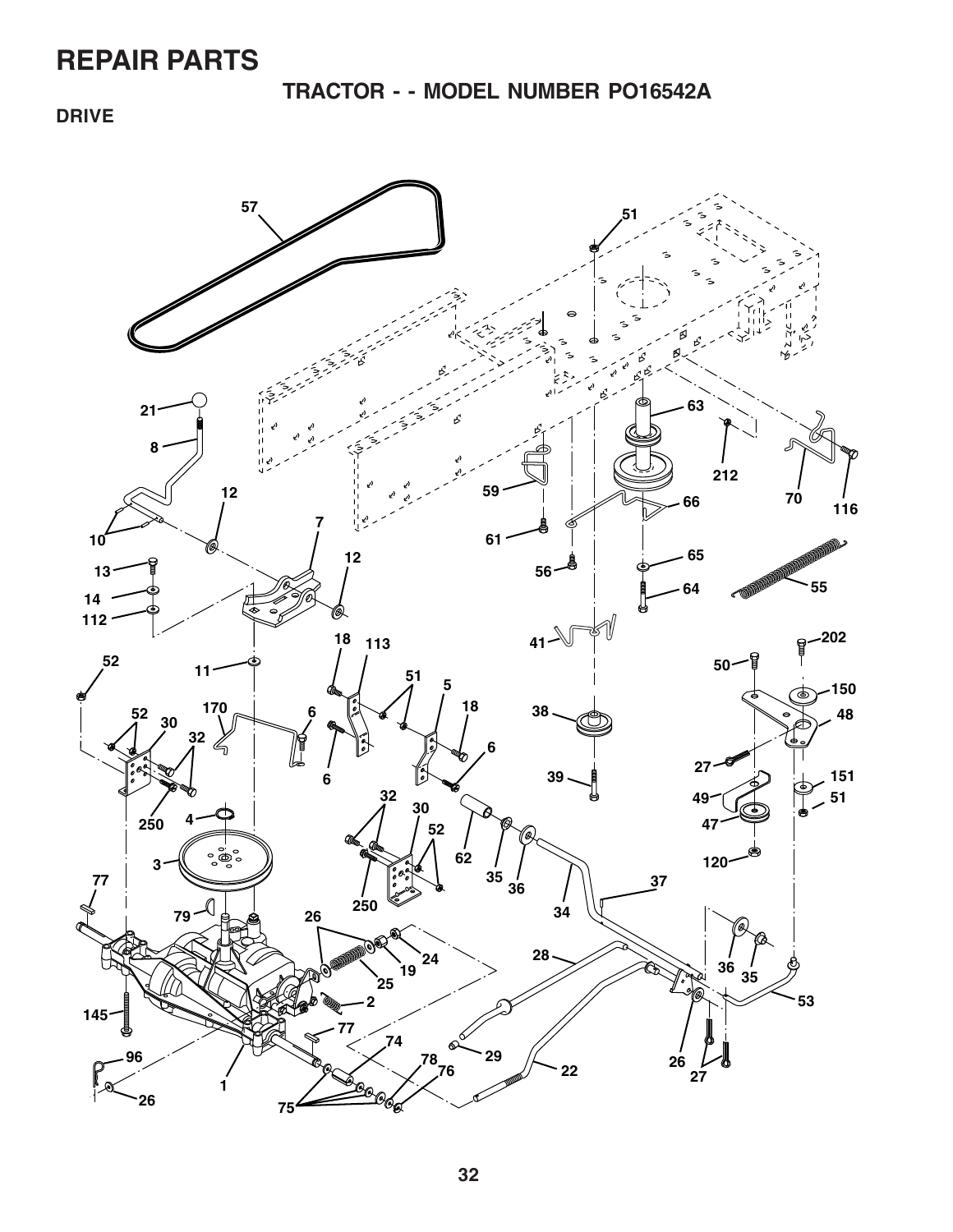**TRACTOR - - MODEL NUMBER PO16542A**

**DRIVE**

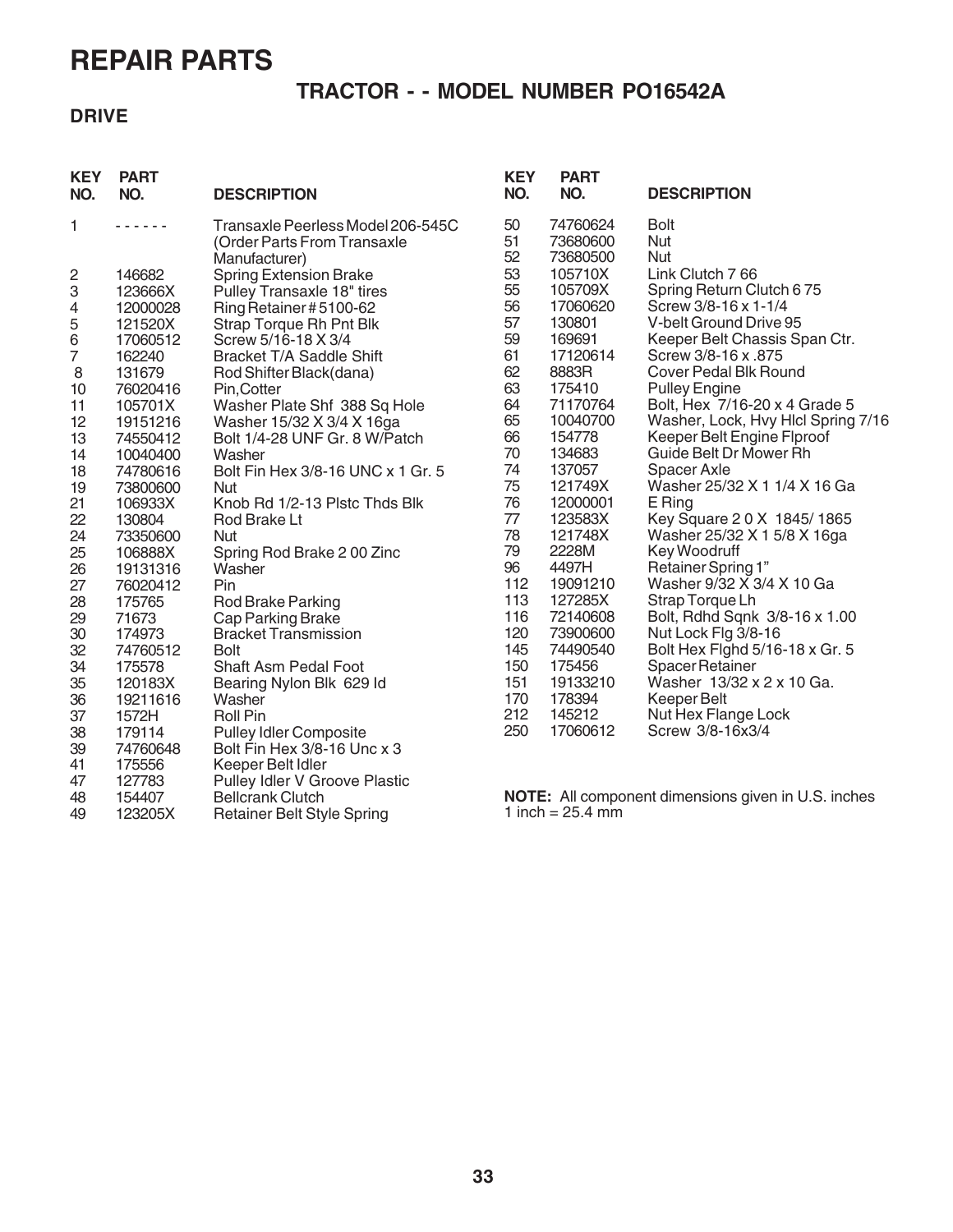47 127783 Pulley Idler V Groove Plastic

49 123205X Retainer Belt Style Spring

48 154407 Bellcrank Clutch

### **TRACTOR - - MODEL NUMBER PO16542A**

#### **DRIVE**

| <b>KEY</b><br>NO. | <b>PART</b><br>NO. | <b>DESCRIPTION</b>                | <b>KEY</b><br>NO. | <b>PART</b><br>NO. | <b>DESCRIPTION</b>                 |
|-------------------|--------------------|-----------------------------------|-------------------|--------------------|------------------------------------|
| 1                 | .                  | Transaxle Peerless Model 206-545C | 50                | 74760624           | <b>Bolt</b>                        |
|                   |                    | (Order Parts From Transaxle       | 51                | 73680600           | Nut                                |
|                   |                    | Manufacturer)                     | 52                | 73680500           | <b>Nut</b>                         |
| $\overline{c}$    | 146682             | <b>Spring Extension Brake</b>     | 53                | 105710X            | Link Clutch 766                    |
| 3                 | 123666X            | Pulley Transaxle 18" tires        | 55                | 105709X            | Spring Return Clutch 675           |
| 4                 | 12000028           | Ring Retainer #5100-62            | 56                | 17060620           | Screw 3/8-16 x 1-1/4               |
| 5                 | 121520X            | Strap Torque Rh Pnt Blk           | 57                | 130801             | V-belt Ground Drive 95             |
| $\,6$             | 17060512           | Screw 5/16-18 X 3/4               | 59                | 169691             | Keeper Belt Chassis Span Ctr.      |
| 7                 | 162240             | Bracket T/A Saddle Shift          | 61                | 17120614           | Screw 3/8-16 x .875                |
| 8                 | 131679             | Rod Shifter Black(dana)           | 62                | 8883R              | Cover Pedal Blk Round              |
| 10                | 76020416           | Pin, Cotter                       | 63                | 175410             | <b>Pulley Engine</b>               |
| 11                | 105701X            | Washer Plate Shf 388 Sq Hole      | 64                | 71170764           | Bolt, Hex 7/16-20 x 4 Grade 5      |
| 12                | 19151216           | Washer 15/32 X 3/4 X 16ga         | 65                | 10040700           | Washer, Lock, Hvy Hlcl Spring 7/16 |
| 13                | 74550412           | Bolt 1/4-28 UNF Gr. 8 W/Patch     | 66                | 154778             | Keeper Belt Engine Flproof         |
| 14                | 10040400           | Washer                            | 70                | 134683             | Guide Belt Dr Mower Rh             |
| 18                | 74780616           | Bolt Fin Hex 3/8-16 UNC x 1 Gr. 5 | 74                | 137057             | <b>Spacer Axle</b>                 |
| 19                | 73800600           | <b>Nut</b>                        | 75                | 121749X            | Washer 25/32 X 1 1/4 X 16 Ga       |
| 21                | 106933X            | Knob Rd 1/2-13 Plstc Thds Blk     | 76                | 12000001           | E Ring                             |
| 22                | 130804             | Rod Brake Lt                      | 77                | 123583X            | Key Square 20 X 1845/1865          |
| 24                | 73350600           | <b>Nut</b>                        | 78                | 121748X            | Washer 25/32 X 1 5/8 X 16ga        |
| 25                | 106888X            | Spring Rod Brake 200 Zinc         | 79                | 2228M              | Key Woodruff                       |
| 26                | 19131316           | Washer                            | 96                | 4497H              | Retainer Spring 1"                 |
| 27                | 76020412           | Pin                               | 112               | 19091210           | Washer 9/32 X 3/4 X 10 Ga          |
| 28                | 175765             | Rod Brake Parking                 | 113               | 127285X            | Strap Torque Lh                    |
| 29                | 71673              | Cap Parking Brake                 | 116               | 72140608           | Bolt, Rdhd Sqnk 3/8-16 x 1.00      |
| 30                | 174973             | <b>Bracket Transmission</b>       | 120               | 73900600           | Nut Lock Flg 3/8-16                |
| 32                | 74760512           | <b>Bolt</b>                       | 145               | 74490540           | Bolt Hex Fighd 5/16-18 x Gr. 5     |
| 34                | 175578             | <b>Shaft Asm Pedal Foot</b>       | 150               | 175456             | <b>Spacer Retainer</b>             |
| 35                | 120183X            | Bearing Nylon Blk 629 ld          | 151               | 19133210           | Washer 13/32 x 2 x 10 Ga.          |
| 36                | 19211616           | Washer                            | 170               | 178394             | Keeper Belt                        |
| 37                | 1572H              | <b>Roll Pin</b>                   | 212               | 145212             | Nut Hex Flange Lock                |
| 38                | 179114             | <b>Pulley Idler Composite</b>     | 250               | 17060612           | Screw 3/8-16x3/4                   |
| 39                | 74760648           | Bolt Fin Hex 3/8-16 Unc x 3       |                   |                    |                                    |
| 41                | 175556             | Keeper Belt Idler                 |                   |                    |                                    |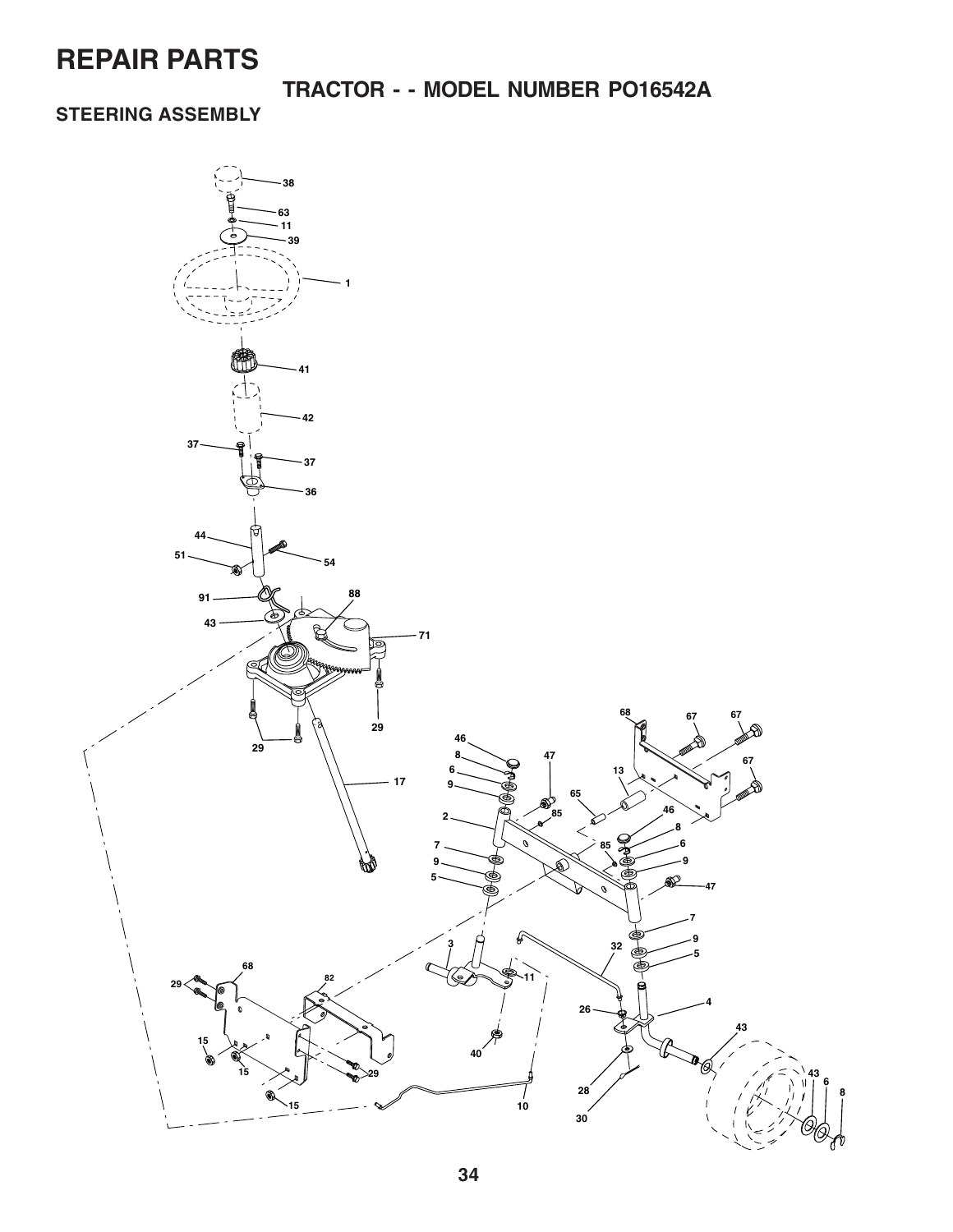### **TRACTOR - - MODEL NUMBER PO16542A**

### **STEERING ASSEMBLY**

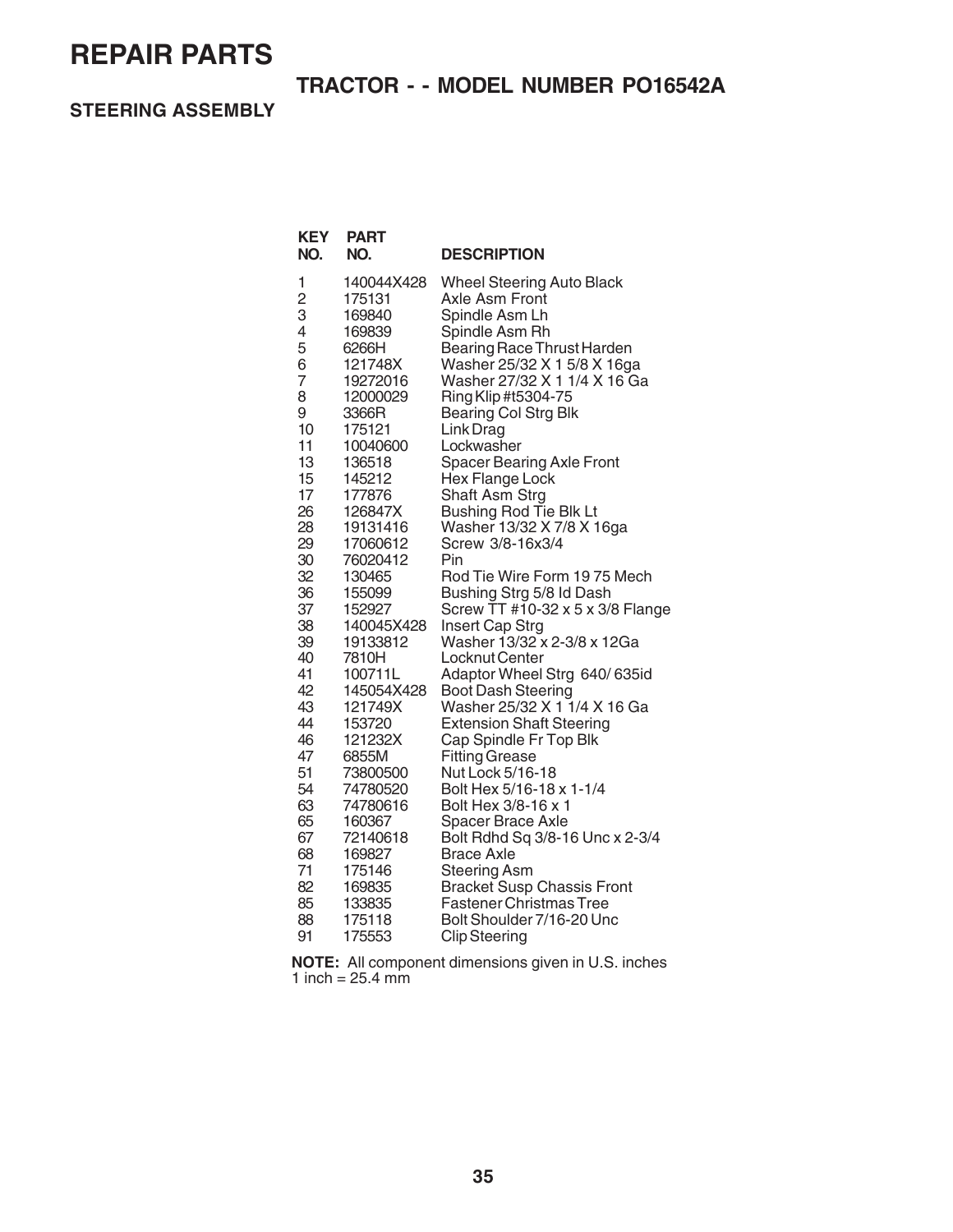## **TRACTOR - - MODEL NUMBER PO16542A**

**STEERING ASSEMBLY**

**KEY PART**

| NO.            | NO.               | <b>DESCRIPTION</b>                                        |
|----------------|-------------------|-----------------------------------------------------------|
| 1              | 140044X428        | <b>Wheel Steering Auto Black</b>                          |
| $\overline{2}$ | 175131            | Axle Asm Front                                            |
| 3              | 169840            | Spindle Asm Lh                                            |
| 4              | 169839            | Spindle Asm Rh                                            |
| 5              | 6266H             | Bearing Race Thrust Harden                                |
| 6              | 121748X           | Washer 25/32 X 1 5/8 X 16ga                               |
| $\overline{7}$ | 19272016          | Washer 27/32 X 1 1/4 X 16 Ga                              |
| 8              | 12000029          | Ring Klip #t5304-75                                       |
| 9              | 3366R             | <b>Bearing Col Strg Blk</b>                               |
| 10             | 175121            | Link Drag                                                 |
| 11             | 10040600          | Lockwasher                                                |
| 13             | 136518            | <b>Spacer Bearing Axle Front</b>                          |
| 15             | 145212            | Hex Flange Lock                                           |
| 17             | 177876            | Shaft Asm Strg                                            |
| 26             | 126847X           | <b>Bushing Rod Tie Blk Lt</b>                             |
| 28             | 19131416          | Washer 13/32 X 7/8 X 16ga                                 |
| 29             | 17060612          | Screw 3/8-16x3/4                                          |
| 30             | 76020412          | Pin                                                       |
| 32             | 130465            | Rod Tie Wire Form 1975 Mech                               |
| 36             | 155099            | Bushing Strg 5/8 Id Dash                                  |
| 37             | 152927            | Screw TT #10-32 x 5 x 3/8 Flange                          |
| 38             | 140045X428        | Insert Cap Strg                                           |
| 39             | 19133812          | Washer 13/32 x 2-3/8 x 12Ga                               |
| 40             | 7810H             | Locknut Center                                            |
| 41             | 100711L           | Adaptor Wheel Strg 640/635id                              |
| 42             | 145054X428        | <b>Boot Dash Steering</b>                                 |
| 43<br>44       | 121749X           | Washer 25/32 X 1 1/4 X 16 Ga                              |
| 46             | 153720<br>121232X | <b>Extension Shaft Steering</b><br>Cap Spindle Fr Top Blk |
| 47             | 6855M             | <b>Fitting Grease</b>                                     |
| 51             | 73800500          | Nut Lock 5/16-18                                          |
| 54             | 74780520          | Bolt Hex 5/16-18 x 1-1/4                                  |
| 63             | 74780616          | Bolt Hex 3/8-16 x 1                                       |
| 65             | 160367            | <b>Spacer Brace Axle</b>                                  |
| 67             | 72140618          | Bolt Rdhd Sq 3/8-16 Unc x 2-3/4                           |
| 68             | 169827            | <b>Brace Axle</b>                                         |
| 71             | 175146            | <b>Steering Asm</b>                                       |
| 82             | 169835            | <b>Bracket Susp Chassis Front</b>                         |
| 85             | 133835            | <b>Fastener Christmas Tree</b>                            |
| 88             | 175118            | Bolt Shoulder 7/16-20 Unc                                 |
| 91             | 175553            | <b>Clip Steering</b>                                      |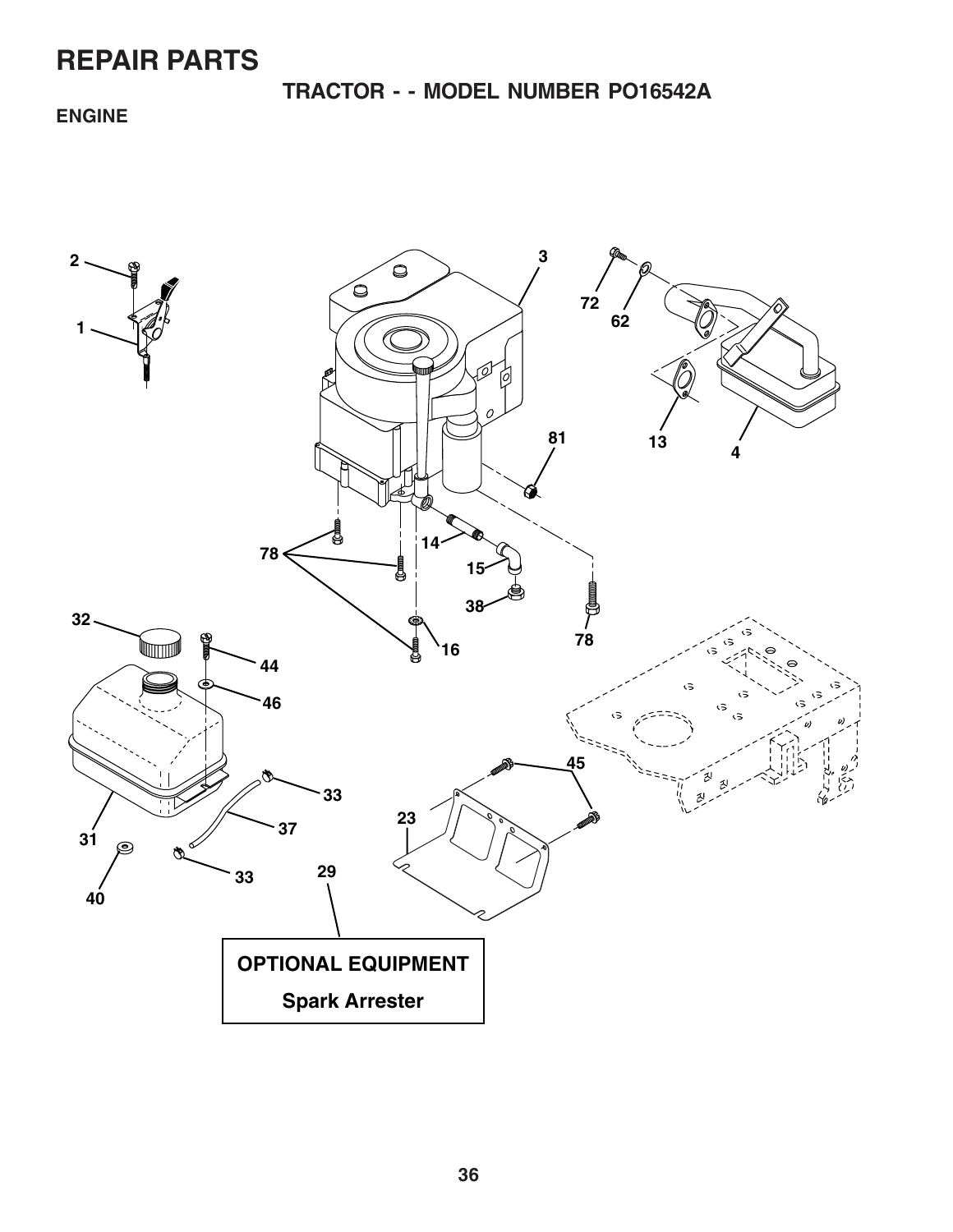**TRACTOR - - MODEL NUMBER PO16542A**

### **ENGINE**

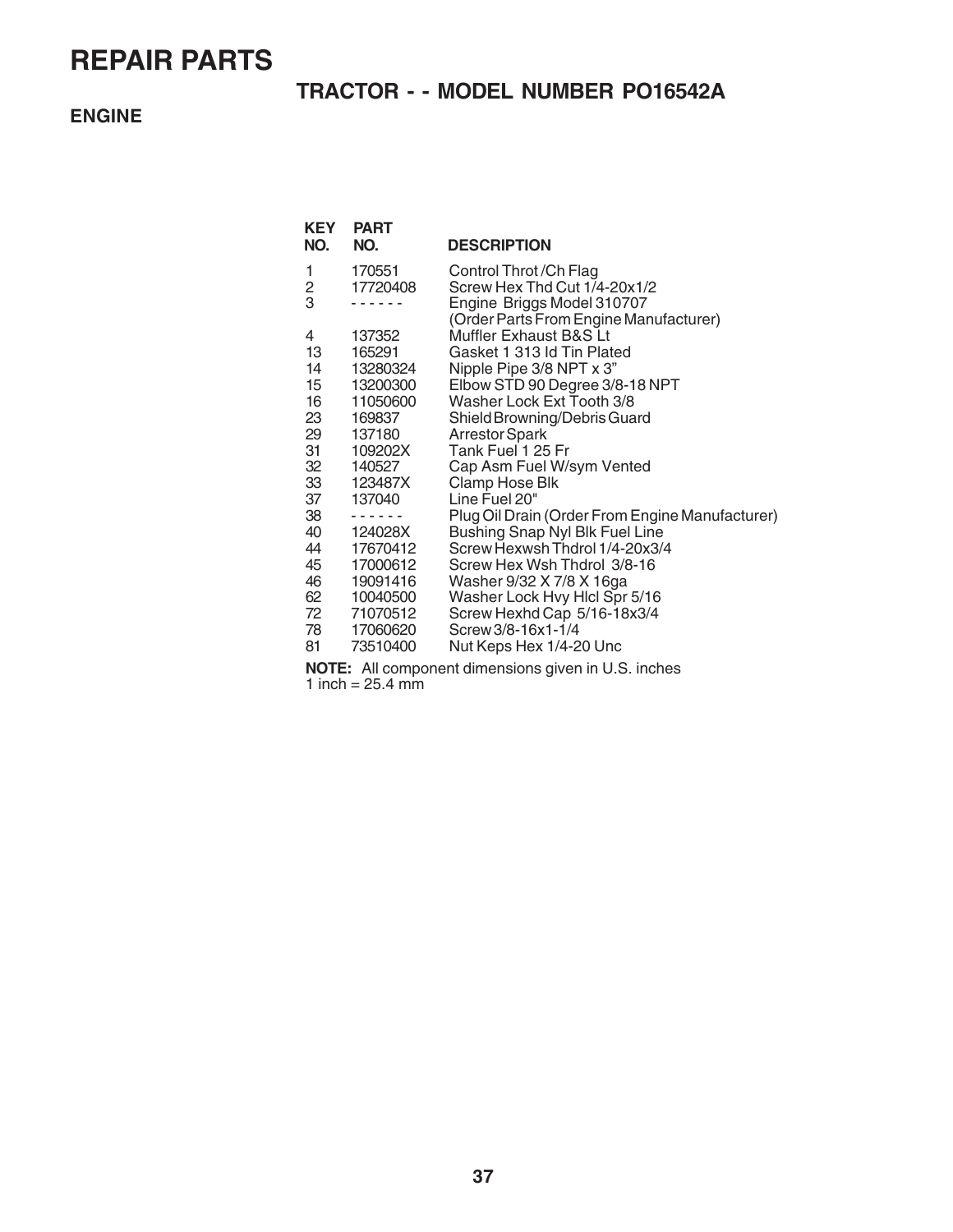### **TRACTOR - - MODEL NUMBER PO16542A**

#### **ENGINE**

| KEY | <b>PART</b> |                                                                  |
|-----|-------------|------------------------------------------------------------------|
| NO. | NO.         | <b>DESCRIPTION</b>                                               |
| 1   | 170551      | Control Throt / Ch Flag                                          |
| 2   | 17720408    | Screw Hex Thd Cut 1/4-20x1/2                                     |
| 3   |             | Engine Briggs Model 310707                                       |
| 4   | 137352      | (Order Parts From Engine Manufacturer)<br>Muffler Exhaust B&S Lt |
| 13  | 165291      | Gasket 1 313 Id Tin Plated                                       |
| 14  | 13280324    | Nipple Pipe 3/8 NPT x 3"                                         |
| 15  | 13200300    | Elbow STD 90 Degree 3/8-18 NPT                                   |
| 16  | 11050600    | Washer Lock Ext Tooth 3/8                                        |
| 23  | 169837      | Shield Browning/Debris Guard                                     |
| 29  | 137180      | Arrestor Spark                                                   |
| 31  | 109202X     | Tank Fuel 1 25 Fr                                                |
| 32  | 140527      | Cap Asm Fuel W/sym Vented                                        |
| 33  | 123487X     | Clamp Hose Blk                                                   |
| 37  | 137040      | Line Fuel 20"                                                    |
| 38  |             | Plug Oil Drain (Order From Engine Manufacturer)                  |
| 40  | 124028X     | Bushing Snap Nyl Blk Fuel Line                                   |
| 44  | 17670412    | Screw Hexwsh Thdrol 1/4-20x3/4                                   |
| 45  | 17000612    | Screw Hex Wsh Thdrol 3/8-16                                      |
| 46  | 19091416    | Washer 9/32 X 7/8 X 16ga                                         |
| 62  | 10040500    | Washer Lock Hvy Hicl Spr 5/16                                    |
| 72  | 71070512    | Screw Hexhd Cap 5/16-18x3/4                                      |
| 78  | 17060620    | Screw 3/8-16x1-1/4                                               |
| 81  | 73510400    | Nut Keps Hex 1/4-20 Unc                                          |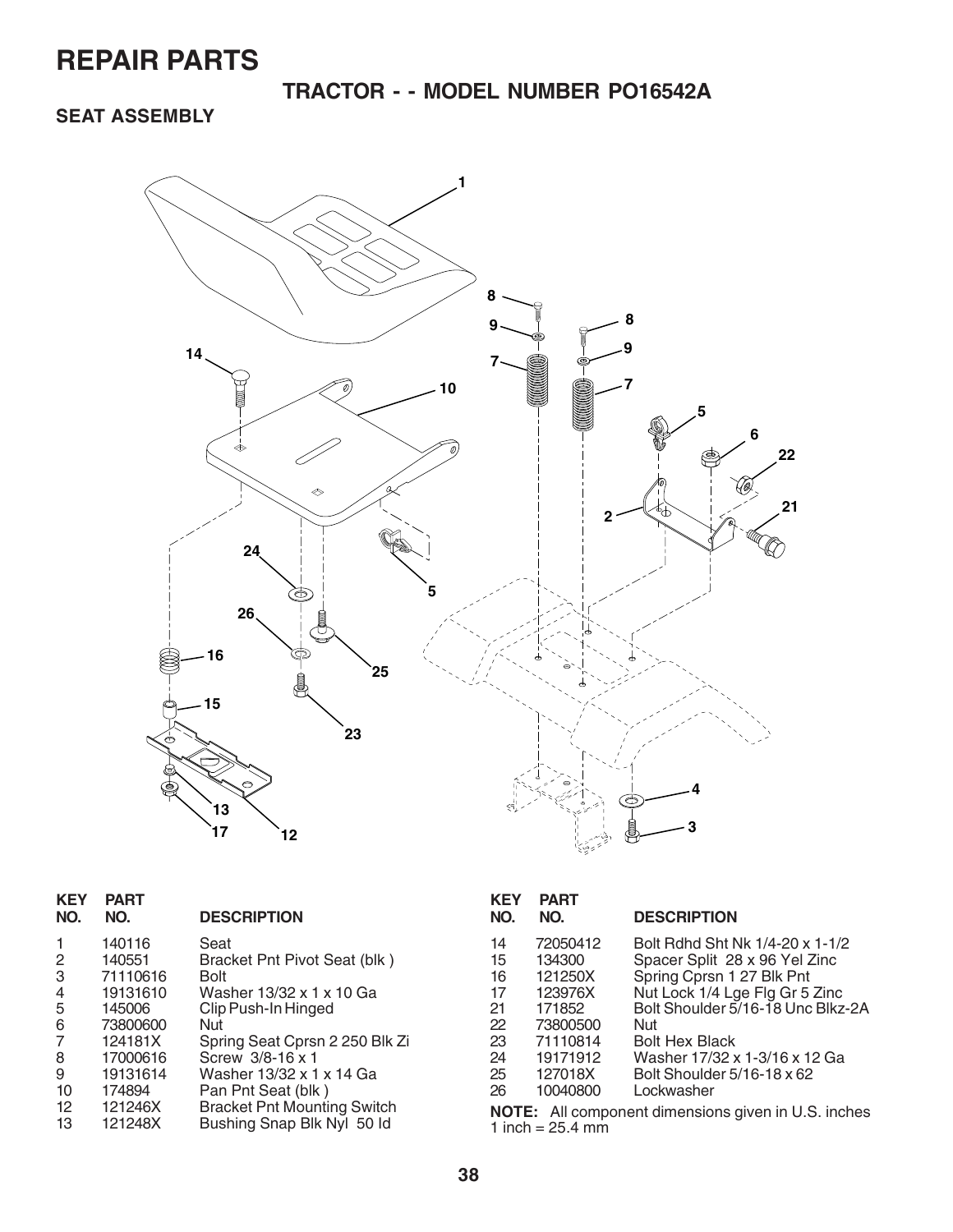**TRACTOR - - MODEL NUMBER PO16542A**

**SEAT ASSEMBLY**



| KEY<br>NO. | <b>PART</b><br>NO. | <b>DESCRIPTION</b>                 |
|------------|--------------------|------------------------------------|
| 1          | 140116             | Seat                               |
| 2          | 140551             | Bracket Pnt Pivot Seat (blk)       |
| 3          | 71110616           | Bolt                               |
| 4          | 19131610           | Washer 13/32 x 1 x 10 Ga           |
| 5          | 145006             | Clip Push-In Hinged                |
| 6          | 73800600           | Nut                                |
| 7          | 124181X            | Spring Seat Cprsn 2 250 Blk Zi     |
| 8          | 17000616           | Screw 3/8-16 x 1                   |
| 9          | 19131614           | Washer 13/32 x 1 x 14 Ga           |
| 10         | 174894             | Pan Pnt Seat (blk)                 |
| 12         | 121246X            | <b>Bracket Pnt Mounting Switch</b> |
| 13         | 121248X            | Bushing Snap Blk Nyl 50 ld         |
|            |                    |                                    |

| KEY<br>NO. | PART<br>NO. | <b>DESCRIPTION</b>                                         |
|------------|-------------|------------------------------------------------------------|
| 14         | 72050412    | Bolt Rdhd Sht Nk 1/4-20 x 1-1/2                            |
| 15         | 134300      | Spacer Split 28 x 96 Yel Zinc                              |
| 16         | 121250X     | Spring Cprsn 1 27 Blk Pnt                                  |
| 17         | 123976X     | Nut Lock 1/4 Lge Flg Gr 5 Zinc                             |
| 21         | 171852      | Bolt Shoulder 5/16-18 Unc Blkz-2A                          |
| 22         | 73800500    | Nut                                                        |
| 23         | 71110814    | Bolt Hex Black                                             |
| 24         | 19171912    | Washer 17/32 x 1-3/16 x 12 Ga                              |
| 25         | 127018X     | Bolt Shoulder 5/16-18 x 62                                 |
| 26         | 10040800    | Lockwasher                                                 |
|            |             | <b>NOTE:</b> All component dimensions given in U.S. inches |

13 121248X Bushing Snap Blk Nyl 50 Id **NOTE:** All component dimensions given in U.S. inches  $1$  inch = 25.4 mm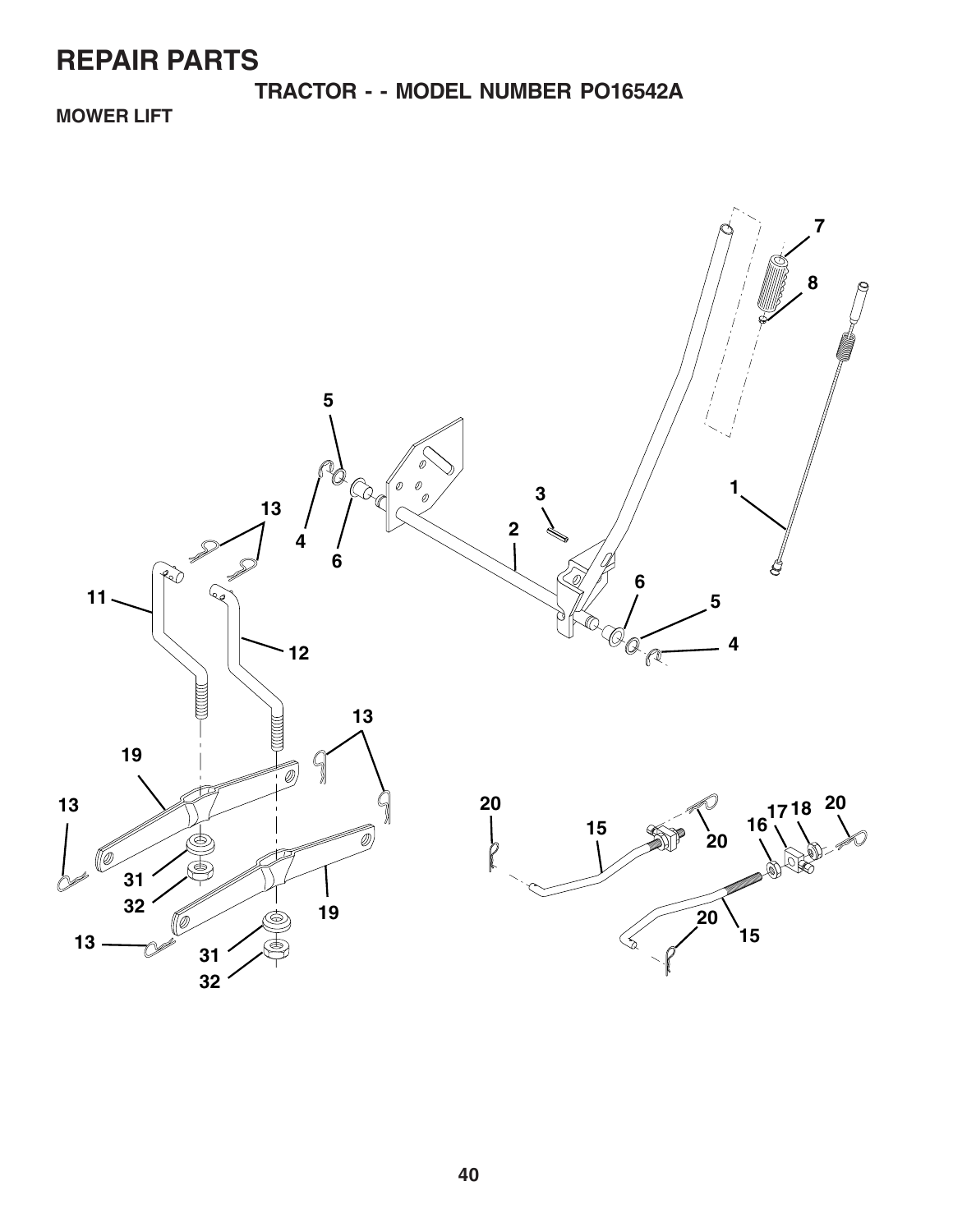**TRACTOR - - MODEL NUMBER PO16542A**

**MOWER LIFT**

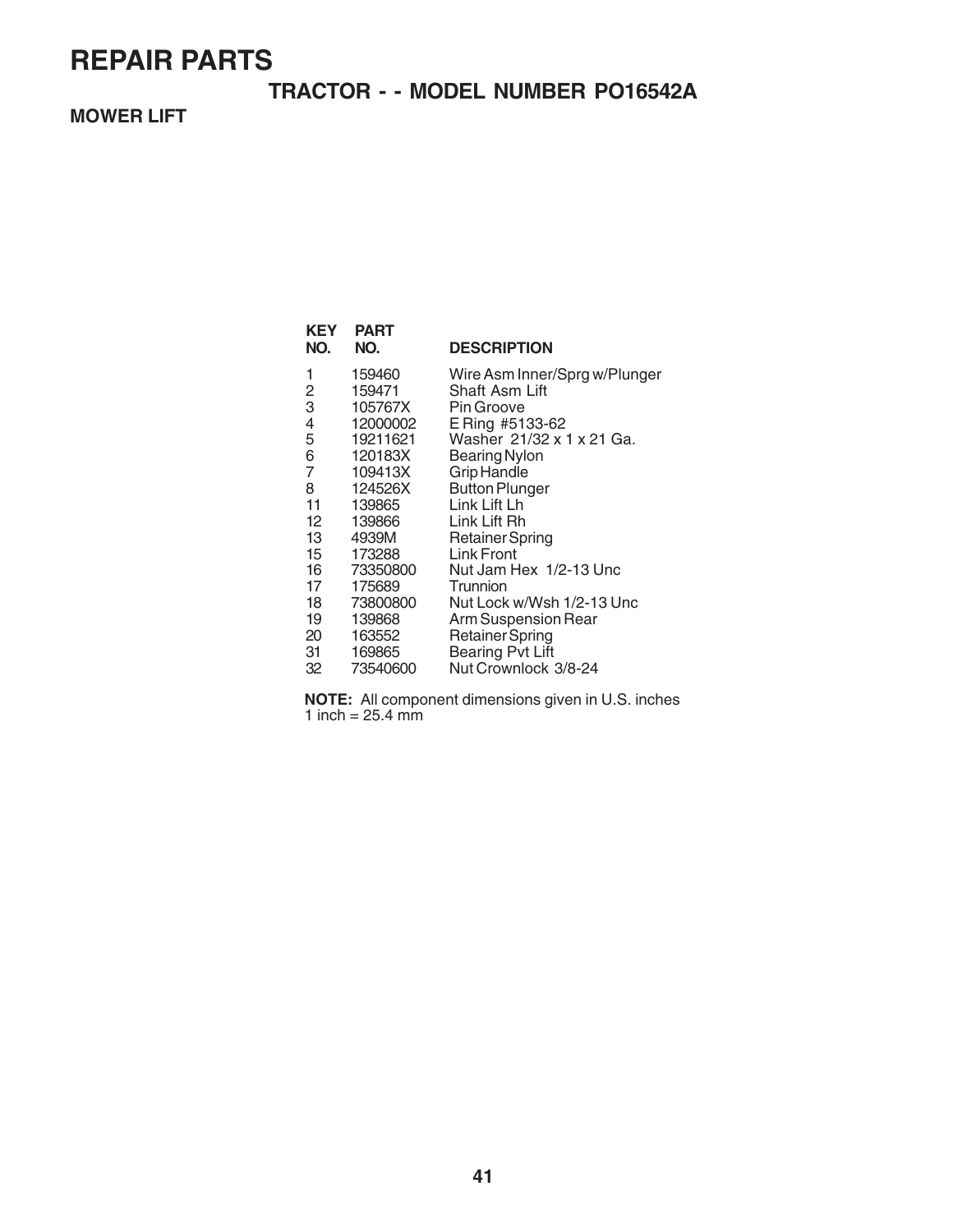### **TRACTOR - - MODEL NUMBER PO16542A**

### **MOWER LIFT**

| <b>KEY</b><br>NO. | PART<br>NO. | <b>DESCRIPTION</b>            |
|-------------------|-------------|-------------------------------|
| 1                 | 159460      | Wire Asm Inner/Sprg w/Plunger |
| 2                 | 159471      | Shaft Asm Lift                |
| 3                 | 105767X     | Pin Groove                    |
| 4                 | 12000002    | E Ring #5133-62               |
| 5                 | 19211621    | Washer 21/32 x 1 x 21 Ga.     |
| 6                 | 120183X     | <b>Bearing Nylon</b>          |
| $\overline{7}$    | 109413X     | <b>Grip Handle</b>            |
| 8                 | 124526X     | <b>Button Plunger</b>         |
| 11                | 139865      | Link Lift Lh                  |
| $12 \overline{ }$ | 139866      | Link Lift Rh                  |
| 13                | 4939M       | <b>Retainer Spring</b>        |
| 15                | 173288      | Link Front                    |
| 16                | 73350800    | Nut Jam Hex 1/2-13 Unc        |
| 17                | 175689      | Trunnion                      |
| 18                | 73800800    | Nut Lock w/Wsh 1/2-13 Unc     |
| 19                | 139868      | <b>Arm Suspension Rear</b>    |
| 20                | 163552      | <b>Retainer Spring</b>        |
| 31                | 169865      | <b>Bearing Pvt Lift</b>       |
| 32                | 73540600    | Nut Crownlock 3/8-24          |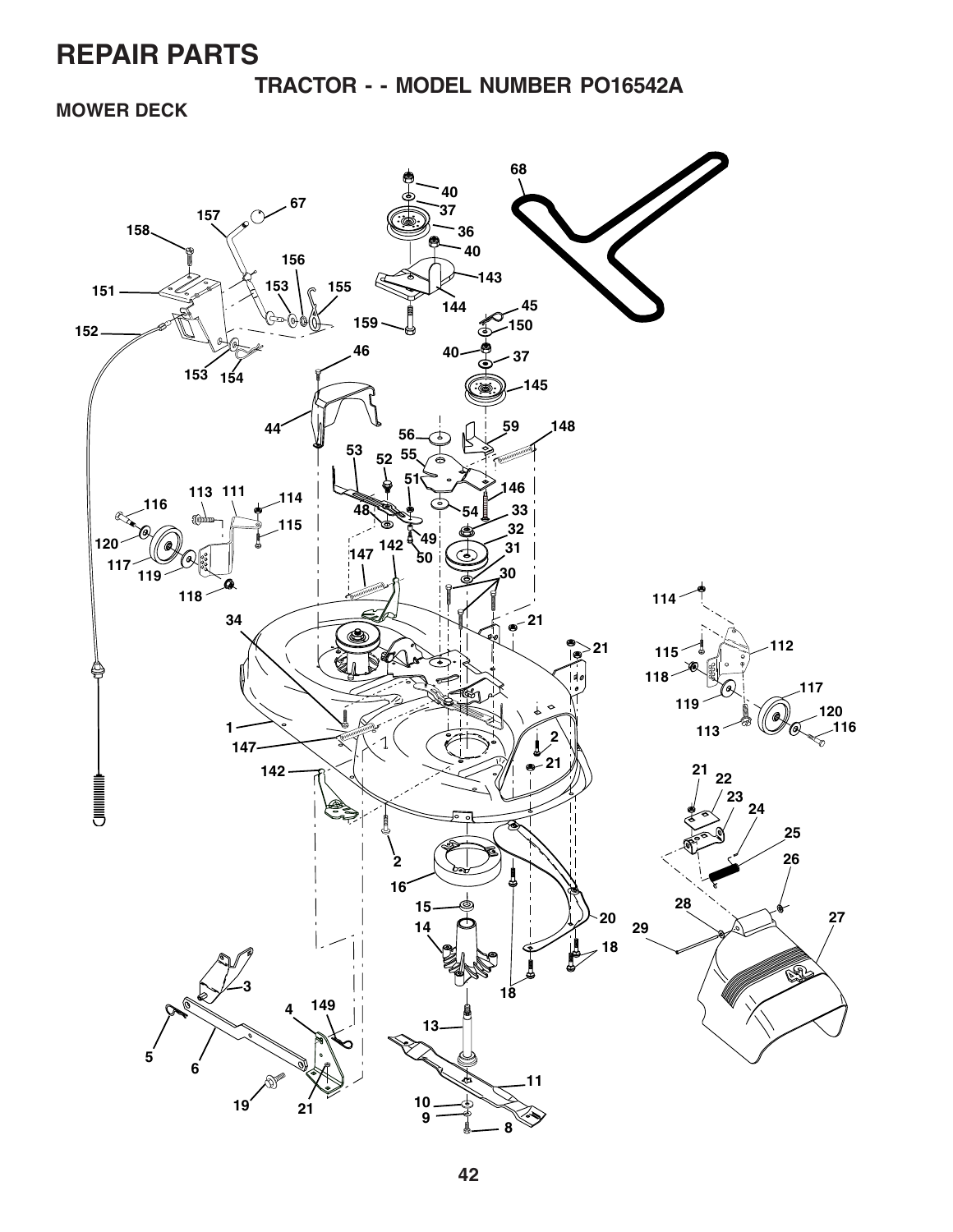**TRACTOR - - MODEL NUMBER PO16542A**

**MOWER DECK**

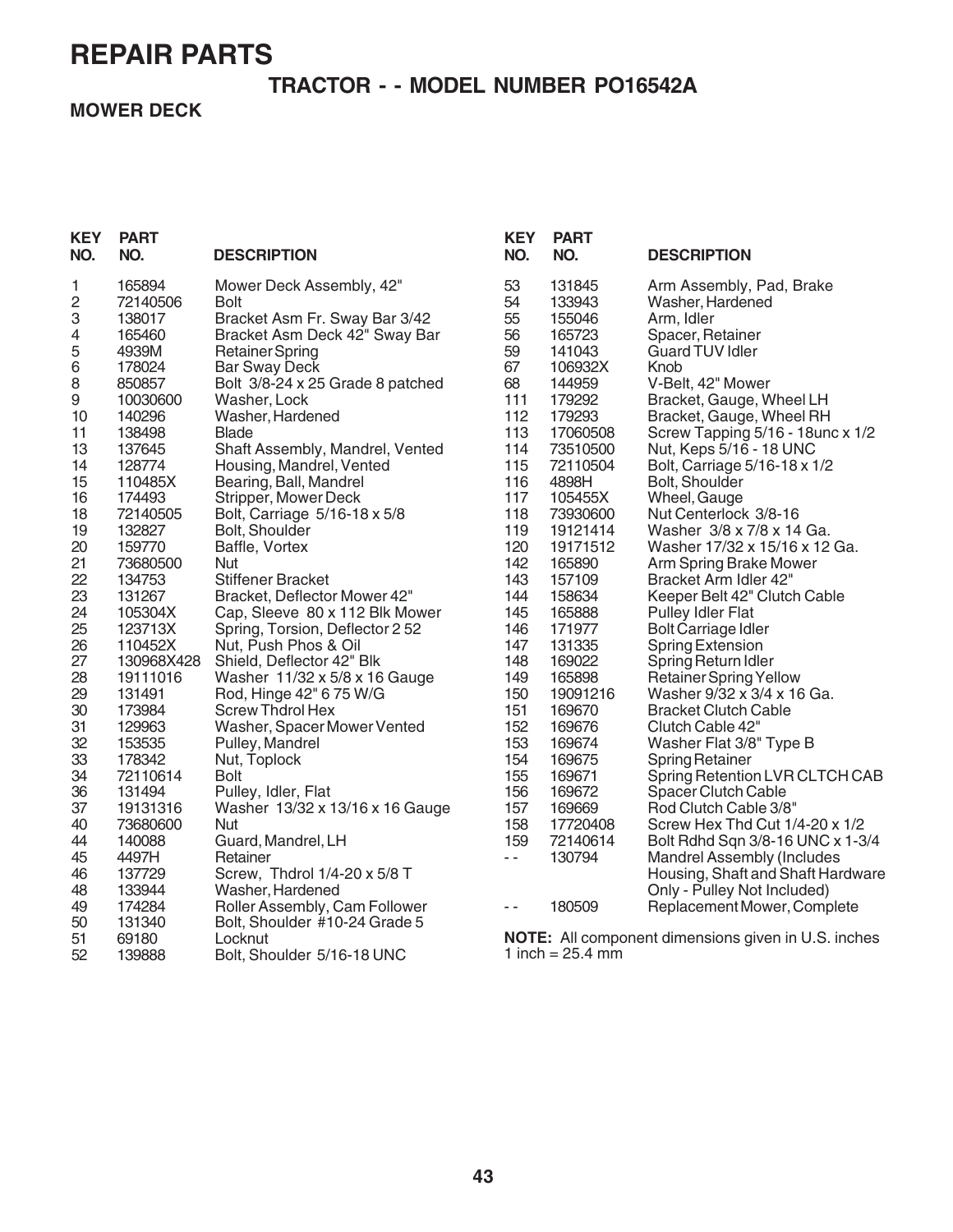### **TRACTOR - - MODEL NUMBER PO16542A**

**MOWER DECK**

| <b>KEY</b><br>NO. | <b>PART</b><br>NO. | <b>DESCRIPTION</b>               | <b>KEY</b><br>NO.        | <b>PART</b><br>NO.         | <b>DESCRIPTION</b>                                         |
|-------------------|--------------------|----------------------------------|--------------------------|----------------------------|------------------------------------------------------------|
| 1                 | 165894             | Mower Deck Assembly, 42"         | 53                       | 131845                     | Arm Assembly, Pad, Brake                                   |
| 2                 | 72140506           | <b>Bolt</b>                      | 54                       | 133943                     | Washer, Hardened                                           |
| 3                 | 138017             | Bracket Asm Fr. Sway Bar 3/42    | 55                       | 155046                     | Arm, Idler                                                 |
| 4                 | 165460             | Bracket Asm Deck 42" Sway Bar    | 56                       | 165723                     | Spacer, Retainer                                           |
| 5                 | 4939M              | <b>Retainer Spring</b>           | 59                       | 141043                     | <b>Guard TUV Idler</b>                                     |
| 6                 | 178024             | <b>Bar Sway Deck</b>             | 67                       | 106932X                    | Knob                                                       |
| 8                 | 850857             | Bolt 3/8-24 x 25 Grade 8 patched | 68                       | 144959                     | V-Belt, 42" Mower                                          |
| 9                 | 10030600           | Washer, Lock                     | 111                      | 179292                     | Bracket, Gauge, Wheel LH                                   |
| 10                | 140296             | Washer, Hardened                 | 112                      | 179293                     | Bracket, Gauge, Wheel RH                                   |
| 11                | 138498             | <b>Blade</b>                     | 113                      | 17060508                   | Screw Tapping 5/16 - 18unc x 1/2                           |
| 13                | 137645             | Shaft Assembly, Mandrel, Vented  | 114                      | 73510500                   | Nut, Keps 5/16 - 18 UNC                                    |
| 14                | 128774             | Housing, Mandrel, Vented         | 115                      | 72110504                   | Bolt, Carriage 5/16-18 x 1/2                               |
| 15                | 110485X            | Bearing, Ball, Mandrel           | 116                      | 4898H                      | Bolt, Shoulder                                             |
| 16                | 174493             | Stripper, Mower Deck             | 117                      | 105455X                    | Wheel, Gauge                                               |
| 18                | 72140505           | Bolt, Carriage 5/16-18 x 5/8     | 118                      | 73930600                   | Nut Centerlock 3/8-16                                      |
| 19                | 132827             | Bolt, Shoulder                   | 119                      | 19121414                   | Washer 3/8 x 7/8 x 14 Ga.                                  |
| 20                | 159770             | Baffle, Vortex                   | 120                      | 19171512                   | Washer 17/32 x 15/16 x 12 Ga.                              |
| 21                | 73680500           | Nut                              | 142                      | 165890                     | Arm Spring Brake Mower                                     |
| 22                | 134753             | <b>Stiffener Bracket</b>         | 143                      | 157109                     | Bracket Arm Idler 42"                                      |
| 23                | 131267             | Bracket, Deflector Mower 42"     | 144                      | 158634                     | Keeper Belt 42" Clutch Cable                               |
| 24                | 105304X            | Cap, Sleeve 80 x 112 Blk Mower   | 145                      | 165888                     | <b>Pulley Idler Flat</b>                                   |
| 25                | 123713X            | Spring, Torsion, Deflector 2 52  | 146                      | 171977                     | Bolt Carriage Idler                                        |
| 26                | 110452X            | Nut, Push Phos & Oil             | 147                      | 131335                     | <b>Spring Extension</b>                                    |
| 27                | 130968X428         | Shield, Deflector 42" Blk        | 148                      | 169022                     | Spring Return Idler                                        |
| 28                | 19111016           | Washer 11/32 x 5/8 x 16 Gauge    | 149                      | 165898                     | <b>Retainer Spring Yellow</b>                              |
| 29                | 131491             | Rod, Hinge 42" 6 75 W/G          | 150                      | 19091216                   | Washer 9/32 x 3/4 x 16 Ga.                                 |
| 30                | 173984             | <b>Screw Thdrol Hex</b>          | 151                      | 169670                     | <b>Bracket Clutch Cable</b>                                |
| 31                | 129963             | Washer, Spacer Mower Vented      | 152                      | 169676                     | Clutch Cable 42"                                           |
| 32                | 153535             | Pulley, Mandrel                  | 153                      | 169674                     | Washer Flat 3/8" Type B                                    |
| 33                | 178342             | Nut, Toplock                     | 154                      | 169675                     | <b>Spring Retainer</b>                                     |
| 34                | 72110614           | <b>Bolt</b>                      | 155                      | 169671                     | Spring Retention LVR CLTCH CAB                             |
| 36                | 131494             | Pulley, Idler, Flat              | 156                      | 169672                     | <b>Spacer Clutch Cable</b>                                 |
| 37                | 19131316           | Washer 13/32 x 13/16 x 16 Gauge  | 157                      | 169669                     | Rod Clutch Cable 3/8"                                      |
| 40                | 73680600           | Nut                              | 158                      | 17720408                   | Screw Hex Thd Cut 1/4-20 x 1/2                             |
| 44                | 140088             | Guard, Mandrel, LH               | 159                      | 72140614                   | Bolt Rdhd Sqn 3/8-16 UNC x 1-3/4                           |
| 45                | 4497H              | Retainer                         | $\overline{\phantom{a}}$ | 130794                     | Mandrel Assembly (Includes                                 |
| 46                | 137729             | Screw, Thdrol 1/4-20 x 5/8 T     |                          |                            | Housing, Shaft and Shaft Hardware                          |
| 48                | 133944             | Washer, Hardened                 |                          |                            | Only - Pulley Not Included)                                |
| 49                | 174284             | Roller Assembly, Cam Follower    | $\sim$ $\sim$            | 180509                     | Replacement Mower, Complete                                |
| 50                | 131340             | Bolt, Shoulder #10-24 Grade 5    |                          |                            |                                                            |
| 51                | 69180              | Locknut                          |                          |                            | <b>NOTE:</b> All component dimensions given in U.S. inches |
| 52                | 139888             | Bolt, Shoulder 5/16-18 UNC       |                          | 1 inch = $25.4 \text{ mm}$ |                                                            |